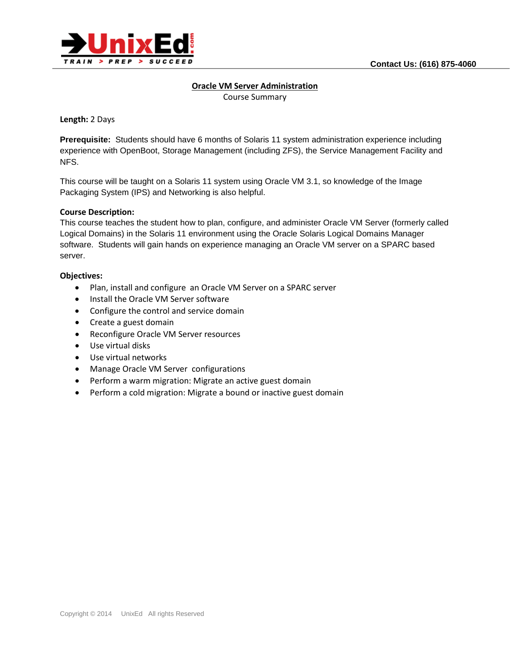

## **Oracle VM Server Administration**

Course Summary

**Length:** 2 Days

**Prerequisite:** Students should have 6 months of Solaris 11 system administration experience including experience with OpenBoot, Storage Management (including ZFS), the Service Management Facility and NFS.

This course will be taught on a Solaris 11 system using Oracle VM 3.1, so knowledge of the Image Packaging System (IPS) and Networking is also helpful.

# **Course Description:**

This course teaches the student how to plan, configure, and administer Oracle VM Server (formerly called Logical Domains) in the Solaris 11 environment using the Oracle Solaris Logical Domains Manager software. Students will gain hands on experience managing an Oracle VM server on a SPARC based server.

# **Objectives:**

- Plan, install and configure an Oracle VM Server on a SPARC server
- Install the Oracle VM Server software
- Configure the control and service domain
- Create a guest domain
- Reconfigure Oracle VM Server resources
- Use virtual disks
- Use virtual networks
- Manage Oracle VM Server configurations
- Perform a warm migration: Migrate an active guest domain
- Perform a cold migration: Migrate a bound or inactive guest domain